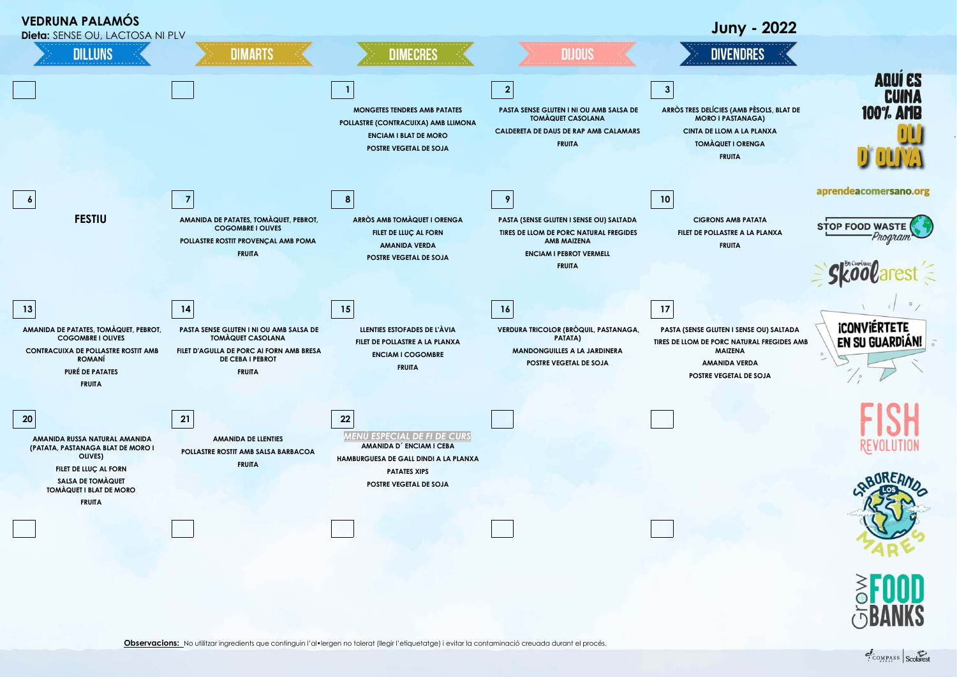